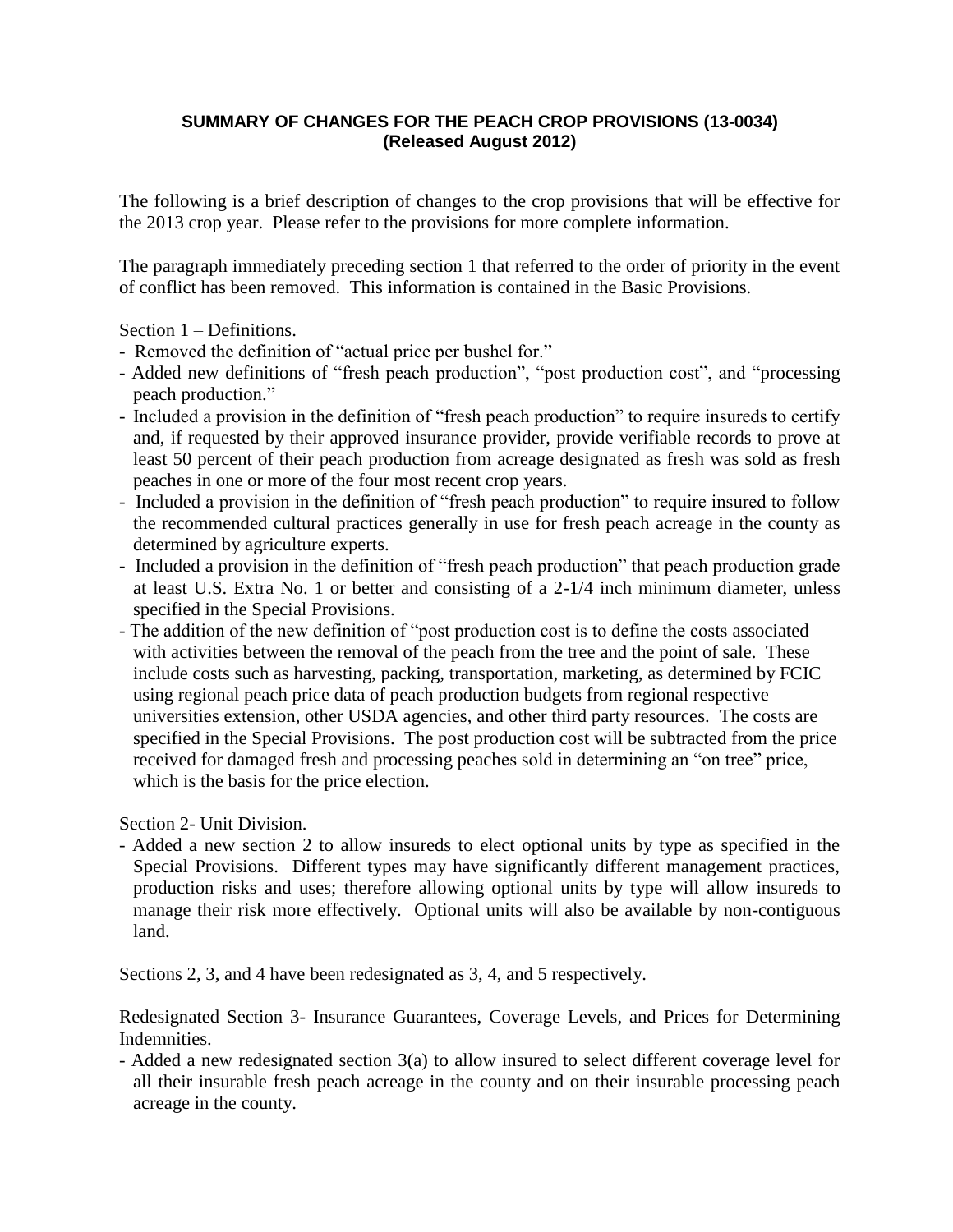# **SUMMARY OF CHANGES FOR THE PEACH CROP PROVISIONS (13-0034) (Released August 2012)**

The following is a brief description of changes to the crop provisions that will be effective for the 2013 crop year. Please refer to the provisions for more complete information.

The paragraph immediately preceding section 1 that referred to the order of priority in the event of conflict has been removed. This information is contained in the Basic Provisions.

Section 1 – Definitions.

- Removed the definition of "actual price per bushel for."
- Added new definitions of "fresh peach production", "post production cost", and "processing peach production."
- Included a provision in the definition of "fresh peach production" to require insureds to certify and, if requested by their approved insurance provider, provide verifiable records to prove at least 50 percent of their peach production from acreage designated as fresh was sold as fresh peaches in one or more of the four most recent crop years.
- Included a provision in the definition of "fresh peach production" to require insured to follow the recommended cultural practices generally in use for fresh peach acreage in the county as determined by agriculture experts.
- Included a provision in the definition of "fresh peach production" that peach production grade at least U.S. Extra No. 1 or better and consisting of a 2-1/4 inch minimum diameter, unless specified in the Special Provisions.
- The addition of the new definition of "post production cost is to define the costs associated with activities between the removal of the peach from the tree and the point of sale. These include costs such as harvesting, packing, transportation, marketing, as determined by FCIC using regional peach price data of peach production budgets from regional respective universities extension, other USDA agencies, and other third party resources. The costs are specified in the Special Provisions. The post production cost will be subtracted from the price received for damaged fresh and processing peaches sold in determining an "on tree" price, which is the basis for the price election.

Section 2- Unit Division.

- Added a new section 2 to allow insureds to elect optional units by type as specified in the Special Provisions. Different types may have significantly different management practices, production risks and uses; therefore allowing optional units by type will allow insureds to manage their risk more effectively. Optional units will also be available by non-contiguous land.

Sections 2, 3, and 4 have been redesignated as 3, 4, and 5 respectively.

Redesignated Section 3- Insurance Guarantees, Coverage Levels, and Prices for Determining Indemnities.

- Added a new redesignated section 3(a) to allow insured to select different coverage level for all their insurable fresh peach acreage in the county and on their insurable processing peach acreage in the county.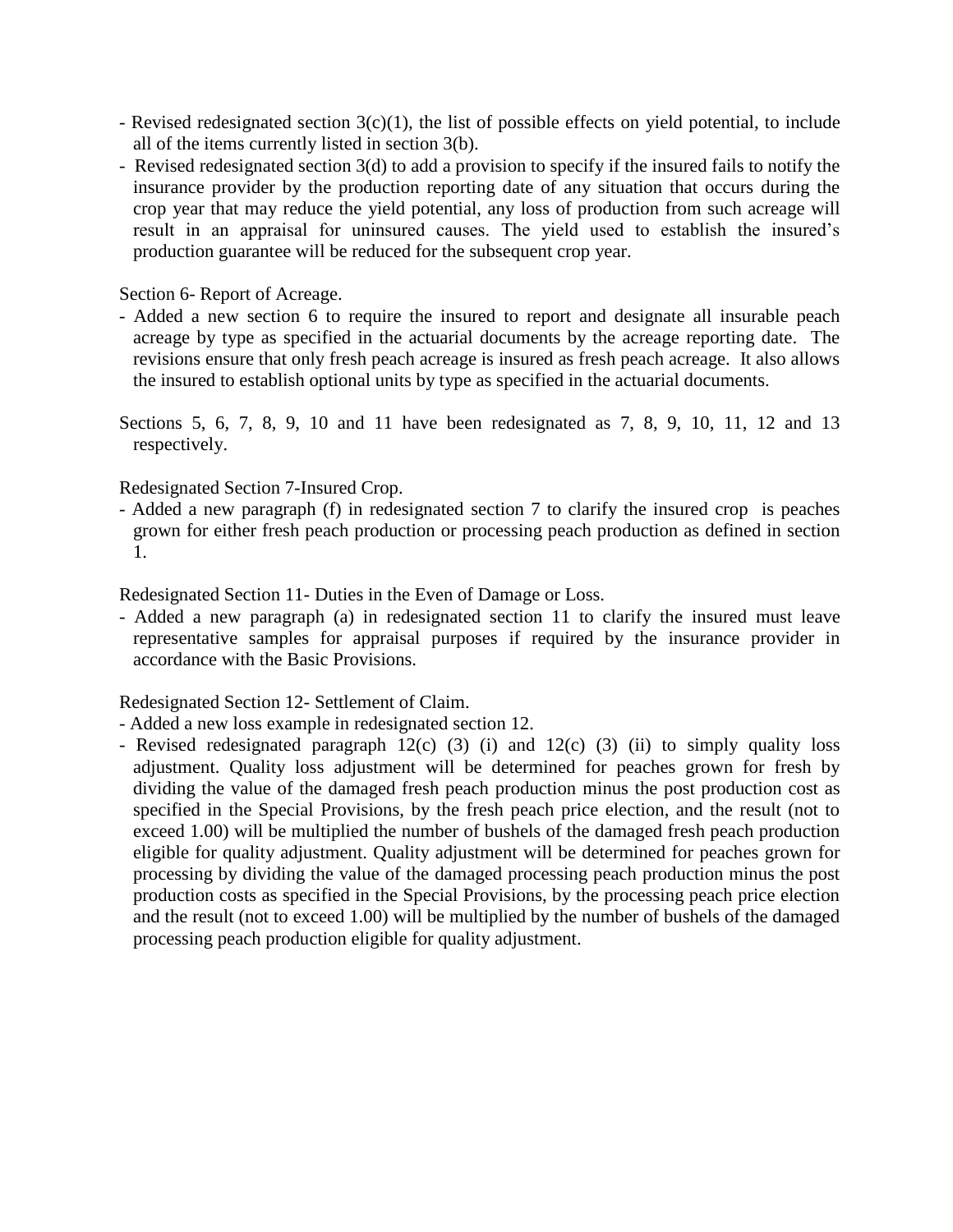- Revised redesignated section 3(c)(1), the list of possible effects on yield potential, to include all of the items currently listed in section 3(b).
- Revised redesignated section 3(d) to add a provision to specify if the insured fails to notify the insurance provider by the production reporting date of any situation that occurs during the crop year that may reduce the yield potential, any loss of production from such acreage will result in an appraisal for uninsured causes. The yield used to establish the insured's production guarantee will be reduced for the subsequent crop year.

Section 6- Report of Acreage.

- Added a new section 6 to require the insured to report and designate all insurable peach acreage by type as specified in the actuarial documents by the acreage reporting date. The revisions ensure that only fresh peach acreage is insured as fresh peach acreage. It also allows the insured to establish optional units by type as specified in the actuarial documents.
- Sections 5, 6, 7, 8, 9, 10 and 11 have been redesignated as 7, 8, 9, 10, 11, 12 and 13 respectively.

Redesignated Section 7-Insured Crop.

- Added a new paragraph (f) in redesignated section 7 to clarify the insured crop is peaches grown for either fresh peach production or processing peach production as defined in section 1.

Redesignated Section 11- Duties in the Even of Damage or Loss.

- Added a new paragraph (a) in redesignated section 11 to clarify the insured must leave representative samples for appraisal purposes if required by the insurance provider in accordance with the Basic Provisions.

Redesignated Section 12- Settlement of Claim.

- Added a new loss example in redesignated section 12.
- Revised redesignated paragraph  $12(c)$  (3) (i) and  $12(c)$  (3) (ii) to simply quality loss adjustment. Quality loss adjustment will be determined for peaches grown for fresh by dividing the value of the damaged fresh peach production minus the post production cost as specified in the Special Provisions, by the fresh peach price election, and the result (not to exceed 1.00) will be multiplied the number of bushels of the damaged fresh peach production eligible for quality adjustment. Quality adjustment will be determined for peaches grown for processing by dividing the value of the damaged processing peach production minus the post production costs as specified in the Special Provisions, by the processing peach price election and the result (not to exceed 1.00) will be multiplied by the number of bushels of the damaged processing peach production eligible for quality adjustment.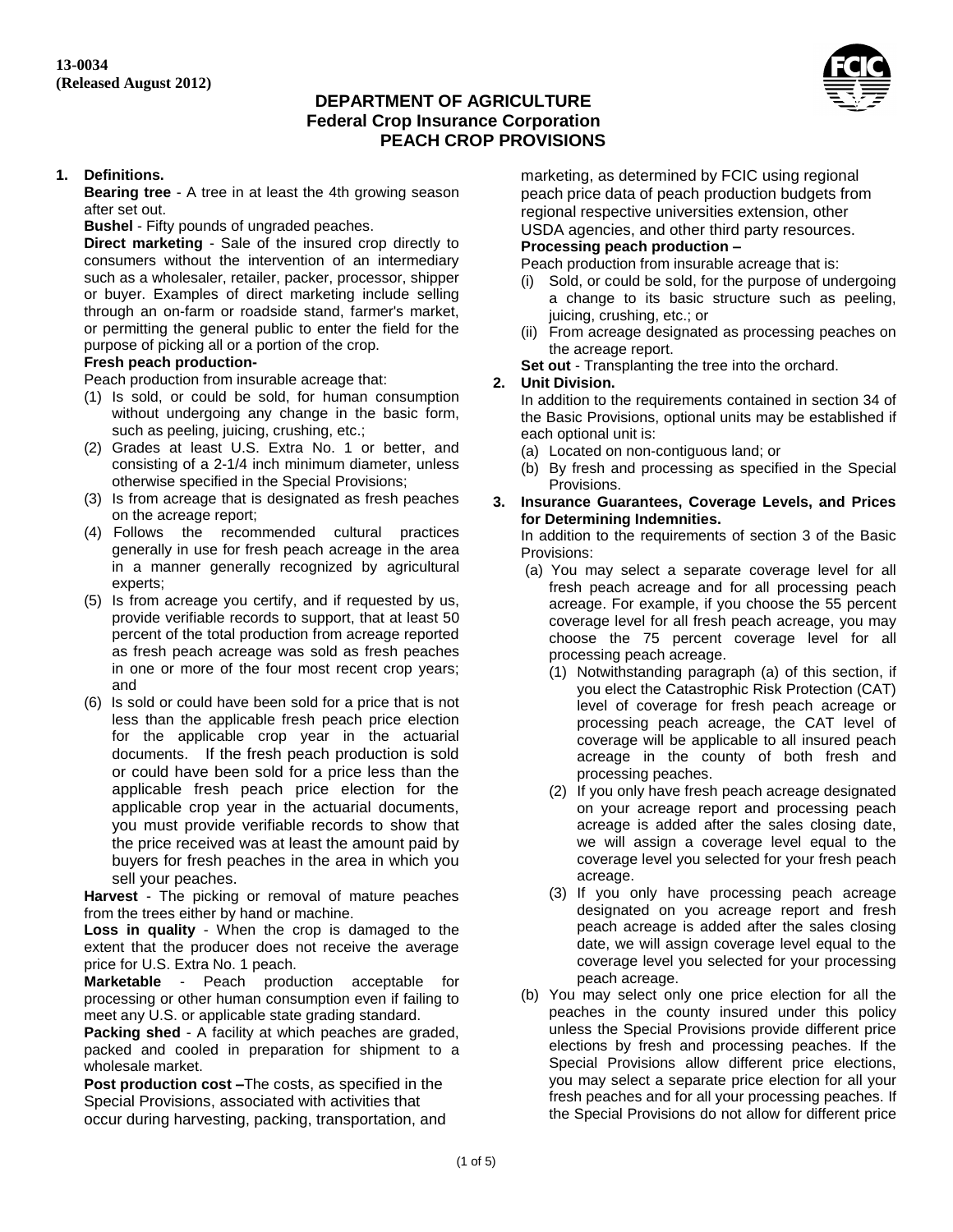

#### **1. Definitions.**

**Bearing tree** - A tree in at least the 4th growing season after set out.

**Bushel** - Fifty pounds of ungraded peaches.

**Direct marketing** - Sale of the insured crop directly to consumers without the intervention of an intermediary such as a wholesaler, retailer, packer, processor, shipper or buyer. Examples of direct marketing include selling through an on-farm or roadside stand, farmer's market, or permitting the general public to enter the field for the purpose of picking all or a portion of the crop.

#### **Fresh peach production-**

Peach production from insurable acreage that:

- (1) Is sold, or could be sold, for human consumption without undergoing any change in the basic form, such as peeling, juicing, crushing, etc.;
- (2) Grades at least U.S. Extra No. 1 or better, and consisting of a 2-1/4 inch minimum diameter, unless otherwise specified in the Special Provisions;
- (3) Is from acreage that is designated as fresh peaches on the acreage report;
- (4) Follows the recommended cultural practices generally in use for fresh peach acreage in the area in a manner generally recognized by agricultural experts;
- (5) Is from acreage you certify, and if requested by us, provide verifiable records to support, that at least 50 percent of the total production from acreage reported as fresh peach acreage was sold as fresh peaches in one or more of the four most recent crop years; and
- (6) Is sold or could have been sold for a price that is not less than the applicable fresh peach price election for the applicable crop year in the actuarial documents. If the fresh peach production is sold or could have been sold for a price less than the applicable fresh peach price election for the applicable crop year in the actuarial documents, you must provide verifiable records to show that the price received was at least the amount paid by buyers for fresh peaches in the area in which you sell your peaches.

**Harvest** - The picking or removal of mature peaches from the trees either by hand or machine.

**Loss in quality** - When the crop is damaged to the extent that the producer does not receive the average price for U.S. Extra No. 1 peach.

**Marketable** - Peach production acceptable for processing or other human consumption even if failing to meet any U.S. or applicable state grading standard.

**Packing shed** - A facility at which peaches are graded, packed and cooled in preparation for shipment to a wholesale market.

**Post production cost –**The costs, as specified in the Special Provisions, associated with activities that occur during harvesting, packing, transportation, and marketing, as determined by FCIC using regional peach price data of peach production budgets from regional respective universities extension, other USDA agencies, and other third party resources.

# **Processing peach production –**

Peach production from insurable acreage that is:

- (i) Sold, or could be sold, for the purpose of undergoing a change to its basic structure such as peeling, juicing, crushing, etc.; or
- (ii) From acreage designated as processing peaches on the acreage report.

**Set out** - Transplanting the tree into the orchard.

#### **2. Unit Division.**

In addition to the requirements contained in section 34 of the Basic Provisions, optional units may be established if each optional unit is:

- (a) Located on non-contiguous land; or
- (b) By fresh and processing as specified in the Special Provisions.
- **3. Insurance Guarantees, Coverage Levels, and Prices for Determining Indemnities.**

In addition to the requirements of section 3 of the Basic Provisions:

- (a) You may select a separate coverage level for all fresh peach acreage and for all processing peach acreage. For example, if you choose the 55 percent coverage level for all fresh peach acreage, you may choose the 75 percent coverage level for all processing peach acreage.
	- (1) Notwithstanding paragraph (a) of this section, if you elect the Catastrophic Risk Protection (CAT) level of coverage for fresh peach acreage or processing peach acreage, the CAT level of coverage will be applicable to all insured peach acreage in the county of both fresh and processing peaches.
	- (2) If you only have fresh peach acreage designated on your acreage report and processing peach acreage is added after the sales closing date, we will assign a coverage level equal to the coverage level you selected for your fresh peach acreage.
	- (3) If you only have processing peach acreage designated on you acreage report and fresh peach acreage is added after the sales closing date, we will assign coverage level equal to the coverage level you selected for your processing peach acreage.
- (b) You may select only one price election for all the peaches in the county insured under this policy unless the Special Provisions provide different price elections by fresh and processing peaches. If the Special Provisions allow different price elections, you may select a separate price election for all your fresh peaches and for all your processing peaches. If the Special Provisions do not allow for different price

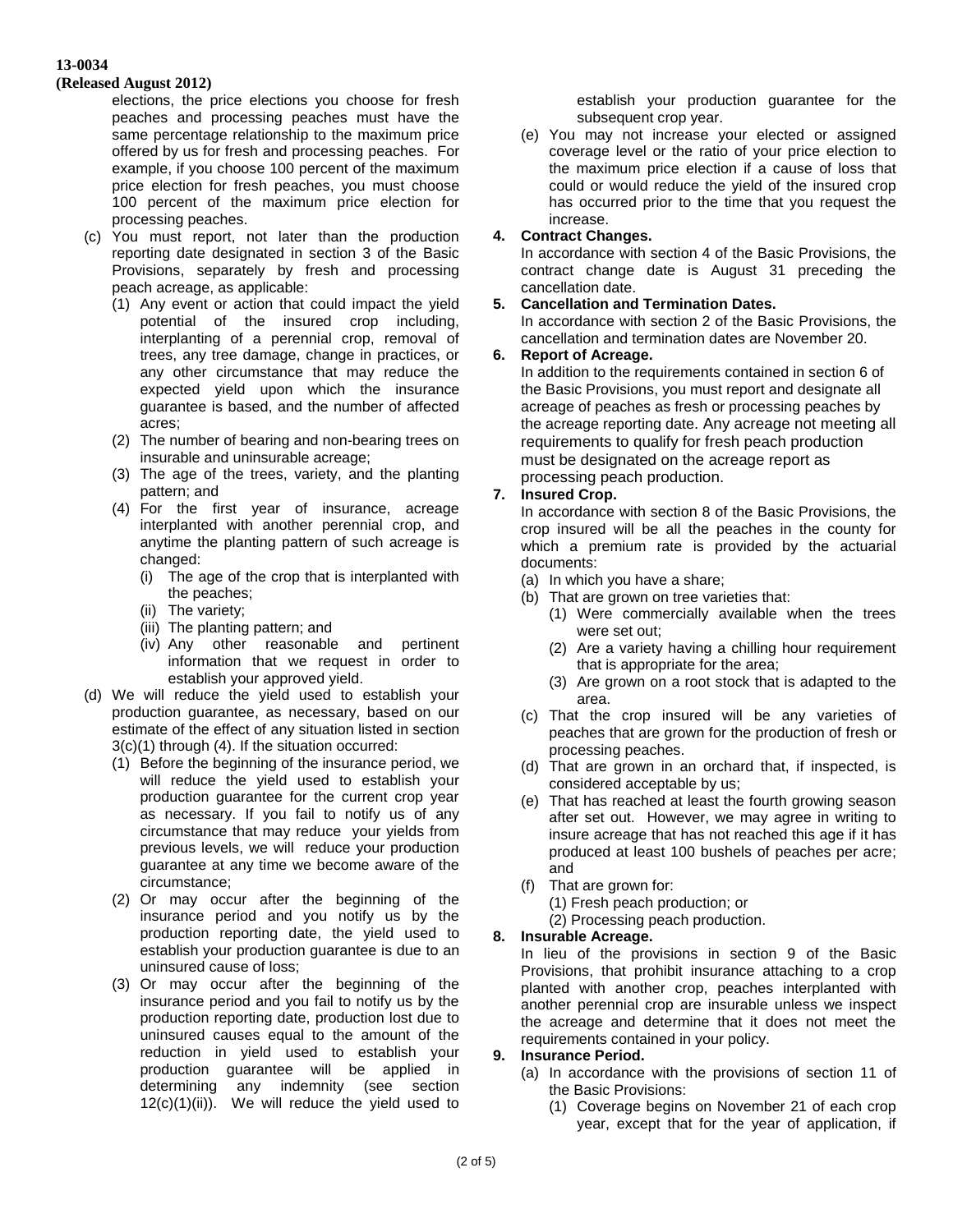#### **(Released August 2012)**

elections, the price elections you choose for fresh peaches and processing peaches must have the same percentage relationship to the maximum price offered by us for fresh and processing peaches. For example, if you choose 100 percent of the maximum price election for fresh peaches, you must choose 100 percent of the maximum price election for processing peaches.

- (c) You must report, not later than the production reporting date designated in section 3 of the Basic Provisions, separately by fresh and processing peach acreage, as applicable:
	- (1) Any event or action that could impact the yield potential of the insured crop including, interplanting of a perennial crop, removal of trees, any tree damage, change in practices, or any other circumstance that may reduce the expected yield upon which the insurance guarantee is based, and the number of affected acres;
	- (2) The number of bearing and non-bearing trees on insurable and uninsurable acreage;
	- (3) The age of the trees, variety, and the planting pattern; and
	- (4) For the first year of insurance, acreage interplanted with another perennial crop, and anytime the planting pattern of such acreage is changed:
		- (i) The age of the crop that is interplanted with the peaches;
		- (ii) The variety;
		- (iii) The planting pattern; and
		- (iv) Any other reasonable and pertinent information that we request in order to establish your approved yield.
- (d) We will reduce the yield used to establish your production guarantee, as necessary, based on our estimate of the effect of any situation listed in section 3(c)(1) through (4). If the situation occurred:
	- (1) Before the beginning of the insurance period, we will reduce the yield used to establish your production guarantee for the current crop year as necessary. If you fail to notify us of any circumstance that may reduce your yields from previous levels, we will reduce your production guarantee at any time we become aware of the circumstance;
	- (2) Or may occur after the beginning of the insurance period and you notify us by the production reporting date, the yield used to establish your production guarantee is due to an uninsured cause of loss;
	- (3) Or may occur after the beginning of the insurance period and you fail to notify us by the production reporting date, production lost due to uninsured causes equal to the amount of the reduction in yield used to establish your production guarantee will be applied in determining any indemnity (see section  $12(c)(1)(ii)$ . We will reduce the yield used to

establish your production guarantee for the subsequent crop year.

(e) You may not increase your elected or assigned coverage level or the ratio of your price election to the maximum price election if a cause of loss that could or would reduce the yield of the insured crop has occurred prior to the time that you request the increase.

### **4. Contract Changes.**

In accordance with section 4 of the Basic Provisions, the contract change date is August 31 preceding the cancellation date.

### **5. Cancellation and Termination Dates.**

In accordance with section 2 of the Basic Provisions, the cancellation and termination dates are November 20.

### **6. Report of Acreage.**

In addition to the requirements contained in section 6 of the Basic Provisions, you must report and designate all acreage of peaches as fresh or processing peaches by the acreage reporting date. Any acreage not meeting all requirements to qualify for fresh peach production must be designated on the acreage report as processing peach production.

### **7. Insured Crop.**

In accordance with section 8 of the Basic Provisions, the crop insured will be all the peaches in the county for which a premium rate is provided by the actuarial documents:

- (a) In which you have a share;
- (b) That are grown on tree varieties that:
	- (1) Were commercially available when the trees were set out;
	- (2) Are a variety having a chilling hour requirement that is appropriate for the area;
	- (3) Are grown on a root stock that is adapted to the area.
- (c) That the crop insured will be any varieties of peaches that are grown for the production of fresh or processing peaches.
- (d) That are grown in an orchard that, if inspected, is considered acceptable by us;
- (e) That has reached at least the fourth growing season after set out. However, we may agree in writing to insure acreage that has not reached this age if it has produced at least 100 bushels of peaches per acre; and
- (f) That are grown for:

(1) Fresh peach production; or

(2) Processing peach production.

# **8. Insurable Acreage.**

In lieu of the provisions in section 9 of the Basic Provisions, that prohibit insurance attaching to a crop planted with another crop, peaches interplanted with another perennial crop are insurable unless we inspect the acreage and determine that it does not meet the requirements contained in your policy.

# **9. Insurance Period.**

- (a) In accordance with the provisions of section 11 of the Basic Provisions:
	- (1) Coverage begins on November 21 of each crop year, except that for the year of application, if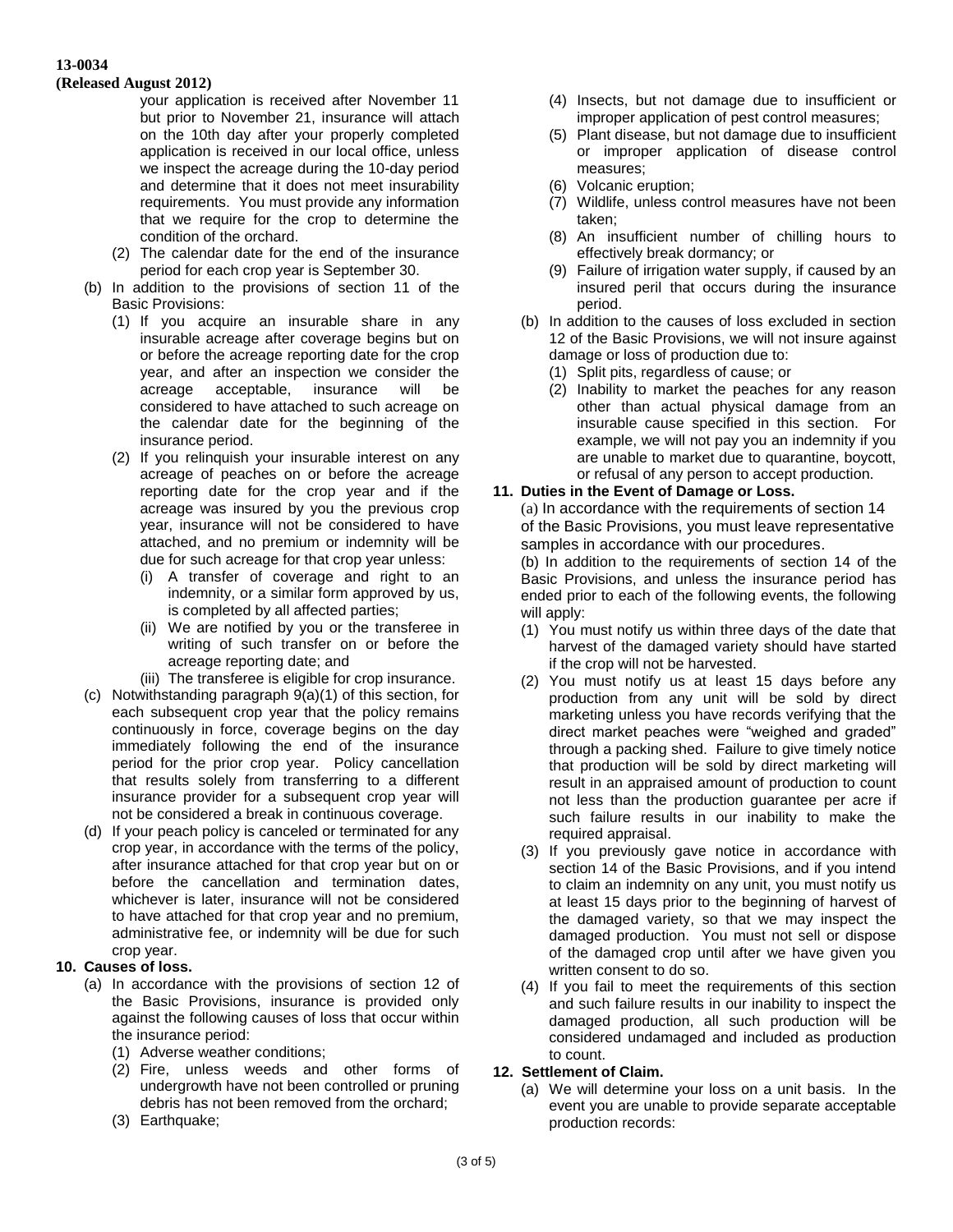#### **(Released August 2012)**

your application is received after November 11 but prior to November 21, insurance will attach on the 10th day after your properly completed application is received in our local office, unless we inspect the acreage during the 10-day period and determine that it does not meet insurability requirements. You must provide any information that we require for the crop to determine the condition of the orchard.

- (2) The calendar date for the end of the insurance period for each crop year is September 30.
- (b) In addition to the provisions of section 11 of the Basic Provisions:
	- (1) If you acquire an insurable share in any insurable acreage after coverage begins but on or before the acreage reporting date for the crop year, and after an inspection we consider the acreage acceptable, insurance will be considered to have attached to such acreage on the calendar date for the beginning of the insurance period.
	- (2) If you relinquish your insurable interest on any acreage of peaches on or before the acreage reporting date for the crop year and if the acreage was insured by you the previous crop year, insurance will not be considered to have attached, and no premium or indemnity will be due for such acreage for that crop year unless:
		- (i) A transfer of coverage and right to an indemnity, or a similar form approved by us, is completed by all affected parties;
		- (ii) We are notified by you or the transferee in writing of such transfer on or before the acreage reporting date; and
		- (iii) The transferee is eligible for crop insurance.
- (c) Notwithstanding paragraph 9(a)(1) of this section, for each subsequent crop year that the policy remains continuously in force, coverage begins on the day immediately following the end of the insurance period for the prior crop year. Policy cancellation that results solely from transferring to a different insurance provider for a subsequent crop year will not be considered a break in continuous coverage.
- (d) If your peach policy is canceled or terminated for any crop year, in accordance with the terms of the policy, after insurance attached for that crop year but on or before the cancellation and termination dates, whichever is later, insurance will not be considered to have attached for that crop year and no premium, administrative fee, or indemnity will be due for such crop year.

# **10. Causes of loss.**

- (a) In accordance with the provisions of section 12 of the Basic Provisions, insurance is provided only against the following causes of loss that occur within the insurance period:
	- (1) Adverse weather conditions;
	- (2) Fire, unless weeds and other forms of undergrowth have not been controlled or pruning debris has not been removed from the orchard;
	- (3) Earthquake;
- (4) Insects, but not damage due to insufficient or improper application of pest control measures;
- (5) Plant disease, but not damage due to insufficient or improper application of disease control measures;
- (6) Volcanic eruption;
- (7) Wildlife, unless control measures have not been taken;
- (8) An insufficient number of chilling hours to effectively break dormancy; or
- (9) Failure of irrigation water supply, if caused by an insured peril that occurs during the insurance period.
- (b) In addition to the causes of loss excluded in section 12 of the Basic Provisions, we will not insure against damage or loss of production due to:
	- (1) Split pits, regardless of cause; or
	- (2) Inability to market the peaches for any reason other than actual physical damage from an insurable cause specified in this section. For example, we will not pay you an indemnity if you are unable to market due to quarantine, boycott, or refusal of any person to accept production.

# **11. Duties in the Event of Damage or Loss.**

(a) In accordance with the requirements of section 14 of the Basic Provisions, you must leave representative samples in accordance with our procedures.

(b) In addition to the requirements of section 14 of the Basic Provisions, and unless the insurance period has ended prior to each of the following events, the following will apply:

- (1) You must notify us within three days of the date that harvest of the damaged variety should have started if the crop will not be harvested.
- (2) You must notify us at least 15 days before any production from any unit will be sold by direct marketing unless you have records verifying that the direct market peaches were "weighed and graded" through a packing shed. Failure to give timely notice that production will be sold by direct marketing will result in an appraised amount of production to count not less than the production guarantee per acre if such failure results in our inability to make the required appraisal.
- (3) If you previously gave notice in accordance with section 14 of the Basic Provisions, and if you intend to claim an indemnity on any unit, you must notify us at least 15 days prior to the beginning of harvest of the damaged variety, so that we may inspect the damaged production. You must not sell or dispose of the damaged crop until after we have given you written consent to do so.
- (4) If you fail to meet the requirements of this section and such failure results in our inability to inspect the damaged production, all such production will be considered undamaged and included as production to count.

#### **12. Settlement of Claim.**

(a) We will determine your loss on a unit basis. In the event you are unable to provide separate acceptable production records: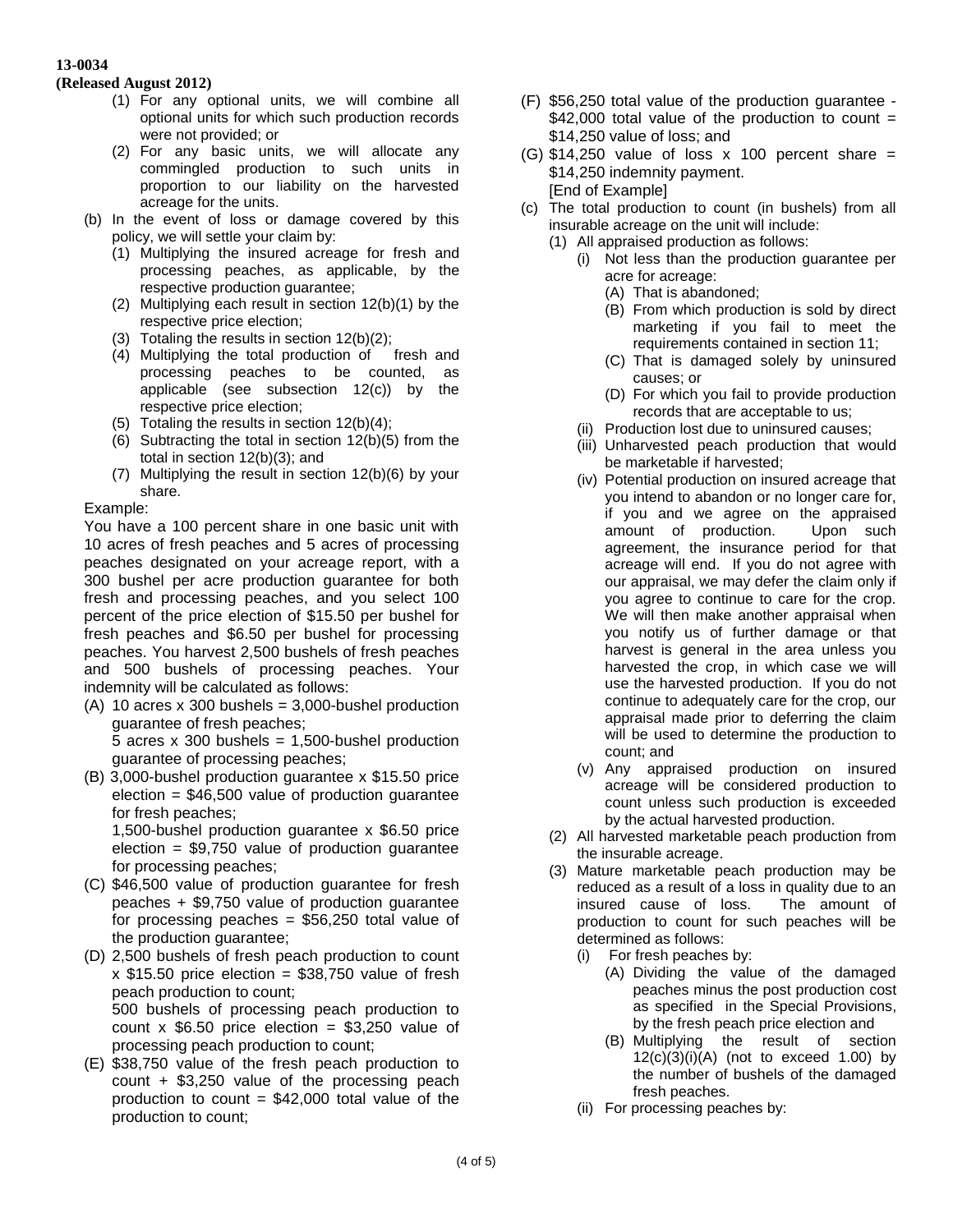#### **(Released August 2012)**

- (1) For any optional units, we will combine all optional units for which such production records were not provided; or
- (2) For any basic units, we will allocate any commingled production to such units in proportion to our liability on the harvested acreage for the units.
- (b) In the event of loss or damage covered by this policy, we will settle your claim by:
	- (1) Multiplying the insured acreage for fresh and processing peaches, as applicable, by the respective production guarantee;
	- (2) Multiplying each result in section 12(b)(1) by the respective price election;
	- (3) Totaling the results in section 12(b)(2);
	- (4) Multiplying the total production of fresh and processing peaches to be counted, as applicable (see subsection 12(c)) by the respective price election;
	- (5) Totaling the results in section 12(b)(4);
	- (6) Subtracting the total in section 12(b)(5) from the total in section 12(b)(3); and
	- (7) Multiplying the result in section 12(b)(6) by your share.

### Example:

You have a 100 percent share in one basic unit with 10 acres of fresh peaches and 5 acres of processing peaches designated on your acreage report, with a 300 bushel per acre production guarantee for both fresh and processing peaches, and you select 100 percent of the price election of \$15.50 per bushel for fresh peaches and \$6.50 per bushel for processing peaches. You harvest 2,500 bushels of fresh peaches and 500 bushels of processing peaches. Your indemnity will be calculated as follows:

- (A) 10 acres x 300 bushels =  $3,000$ -bushel production guarantee of fresh peaches; 5 acres  $x$  300 bushels = 1,500-bushel production guarantee of processing peaches;
- (B) 3,000-bushel production guarantee x \$15.50 price election = \$46,500 value of production guarantee for fresh peaches; 1,500-bushel production guarantee x \$6.50 price

 $e$ lection = \$9,750 value of production guarantee for processing peaches;

- (C) \$46,500 value of production guarantee for fresh peaches + \$9,750 value of production guarantee for processing peaches  $=$  \$56,250 total value of the production guarantee;
- (D) 2,500 bushels of fresh peach production to count  $x$  \$15.50 price election = \$38,750 value of fresh peach production to count; 500 bushels of processing peach production to count x  $$6.50$  price election = \$3,250 value of processing peach production to count;
- (E) \$38,750 value of the fresh peach production to count + \$3,250 value of the processing peach production to count  $= $42,000$  total value of the production to count;
- (F) \$56,250 total value of the production guarantee  $$42,000$  total value of the production to count = \$14,250 value of loss; and
- (G)  $$14,250$  value of loss x 100 percent share = \$14,250 indemnity payment. [End of Example]
- (c) The total production to count (in bushels) from all insurable acreage on the unit will include:
	- (1) All appraised production as follows:
		- (i) Not less than the production guarantee per acre for acreage:
			- (A) That is abandoned;
			- (B) From which production is sold by direct marketing if you fail to meet the requirements contained in section 11;
			- (C) That is damaged solely by uninsured causes; or
			- (D) For which you fail to provide production records that are acceptable to us;
		- (ii) Production lost due to uninsured causes;
		- (iii) Unharvested peach production that would be marketable if harvested;
		- (iv) Potential production on insured acreage that you intend to abandon or no longer care for, if you and we agree on the appraised amount of production. Upon such agreement, the insurance period for that acreage will end. If you do not agree with our appraisal, we may defer the claim only if you agree to continue to care for the crop. We will then make another appraisal when you notify us of further damage or that harvest is general in the area unless you harvested the crop, in which case we will use the harvested production. If you do not continue to adequately care for the crop, our appraisal made prior to deferring the claim will be used to determine the production to count; and
		- (v) Any appraised production on insured acreage will be considered production to count unless such production is exceeded by the actual harvested production.
	- (2) All harvested marketable peach production from the insurable acreage.
	- (3) Mature marketable peach production may be reduced as a result of a loss in quality due to an insured cause of loss. The amount of production to count for such peaches will be determined as follows:
		- (i) For fresh peaches by:
			- (A) Dividing the value of the damaged peaches minus the post production cost as specified in the Special Provisions, by the fresh peach price election and
			- (B) Multiplying the result of section  $12(c)(3)(i)(A)$  (not to exceed 1.00) by the number of bushels of the damaged fresh peaches.
		- (ii) For processing peaches by: